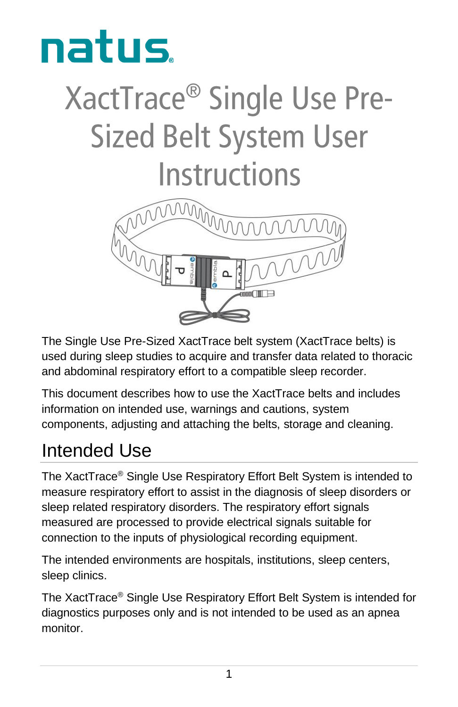

# XactTrace<sup>®</sup> Single Use Pre-**Sized Belt System User Instructions**



The Single Use Pre-Sized XactTrace belt system (XactTrace belts) is used during sleep studies to acquire and transfer data related to thoracic and abdominal respiratory effort to a compatible sleep recorder.

This document describes how to use the XactTrace belts and includes information on intended use, warnings and cautions, system components, adjusting and attaching the belts, storage and cleaning.

### Intended Use

The XactTrace® Single Use Respiratory Effort Belt System is intended to measure respiratory effort to assist in the diagnosis of sleep disorders or sleep related respiratory disorders. The respiratory effort signals measured are processed to provide electrical signals suitable for connection to the inputs of physiological recording equipment.

The intended environments are hospitals, institutions, sleep centers, sleep clinics.

The XactTrace® Single Use Respiratory Effort Belt System is intended for diagnostics purposes only and is not intended to be used as an apnea monitor.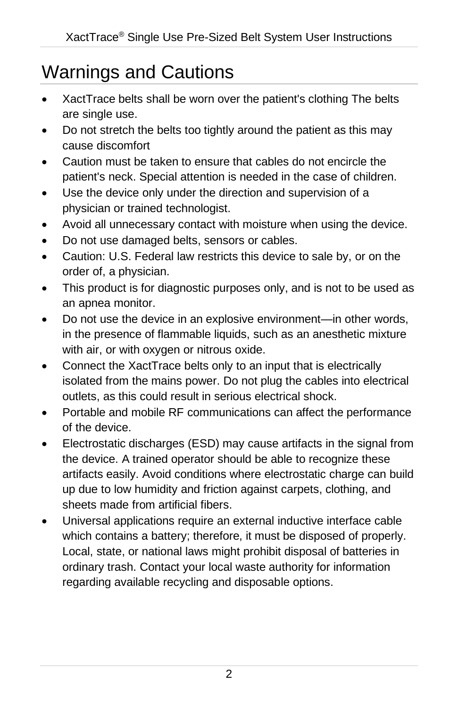## Warnings and Cautions

- XactTrace belts shall be worn over the patient's clothing The belts are single use.
- Do not stretch the belts too tightly around the patient as this may cause discomfort
- Caution must be taken to ensure that cables do not encircle the patient's neck. Special attention is needed in the case of children.
- Use the device only under the direction and supervision of a physician or trained technologist.
- Avoid all unnecessary contact with moisture when using the device.
- Do not use damaged belts, sensors or cables.
- Caution: U.S. Federal law restricts this device to sale by, or on the order of, a physician.
- This product is for diagnostic purposes only, and is not to be used as an apnea monitor.
- Do not use the device in an explosive environment—in other words, in the presence of flammable liquids, such as an anesthetic mixture with air, or with oxygen or nitrous oxide.
- Connect the XactTrace belts only to an input that is electrically isolated from the mains power. Do not plug the cables into electrical outlets, as this could result in serious electrical shock.
- Portable and mobile RF communications can affect the performance of the device.
- Electrostatic discharges (ESD) may cause artifacts in the signal from the device. A trained operator should be able to recognize these artifacts easily. Avoid conditions where electrostatic charge can build up due to low humidity and friction against carpets, clothing, and sheets made from artificial fibers.
- Universal applications require an external inductive interface cable which contains a battery; therefore, it must be disposed of properly. Local, state, or national laws might prohibit disposal of batteries in ordinary trash. Contact your local waste authority for information regarding available recycling and disposable options.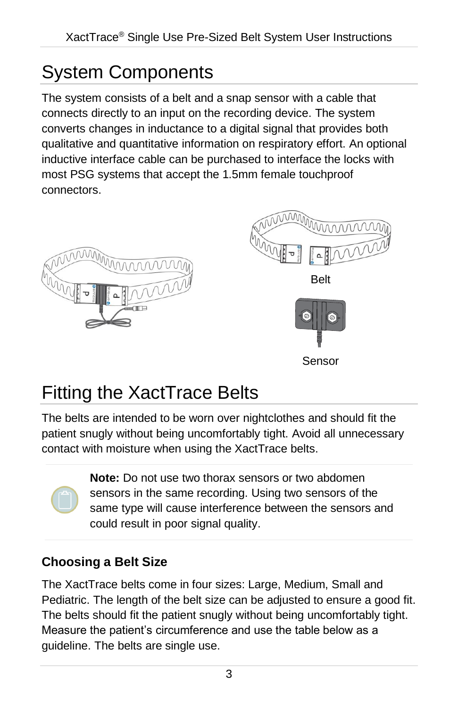# System Components

The system consists of a belt and a snap sensor with a cable that connects directly to an input on the recording device. The system converts changes in inductance to a digital signal that provides both qualitative and quantitative information on respiratory effort. An optional inductive interface cable can be purchased to interface the locks with most PSG systems that accept the 1.5mm female touchproof connectors.





# <span id="page-2-0"></span>Fitting the XactTrace Belts

The belts are intended to be worn over nightclothes and should fit the patient snugly without being uncomfortably tight. Avoid all unnecessary contact with moisture when using the XactTrace belts.

> **Note:** Do not use two thorax sensors or two abdomen sensors in the same recording. Using two sensors of the same type will cause interference between the sensors and could result in poor signal quality.

#### **Choosing a Belt Size**

The XactTrace belts come in four sizes: Large, Medium, Small and Pediatric. The length of the belt size can be adjusted to ensure a good fit. The belts should fit the patient snugly without being uncomfortably tight. Measure the patient's circumference and use the table below as a guideline. The belts are single use.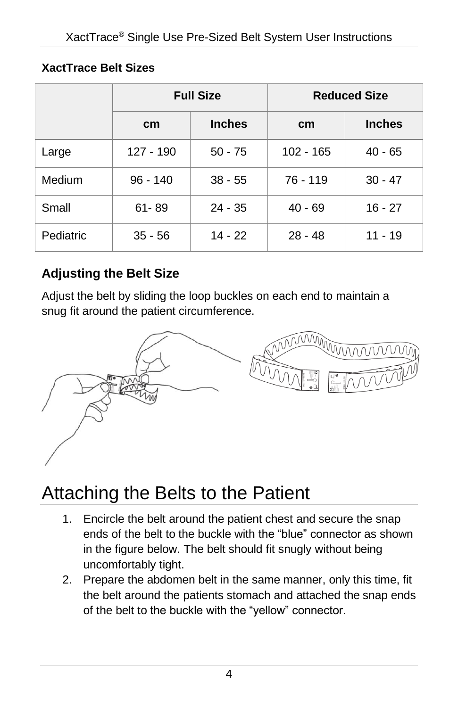#### **XactTrace Belt Sizes**

|           |            | <b>Full Size</b> | <b>Reduced Size</b> |               |  |
|-----------|------------|------------------|---------------------|---------------|--|
|           | cm         | <b>Inches</b>    | cm                  | <b>Inches</b> |  |
| Large     | 127 - 190  | $50 - 75$        | $102 - 165$         | $40 - 65$     |  |
| Medium    | $96 - 140$ | $38 - 55$        | 76 - 119            | $30 - 47$     |  |
| Small     | $61 - 89$  | 24 - 35          | $40 - 69$           | $16 - 27$     |  |
| Pediatric | $35 - 56$  | $14 - 22$        | $28 - 48$           | 11 - 19       |  |

#### **Adjusting the Belt Size**

Adjust the belt by sliding the loop buckles on each end to maintain a snug fit around the patient circumference.



# Attaching the Belts to the Patient

- 1. Encircle the belt around the patient chest and secure the snap ends of the belt to the buckle with the "blue" connector as shown in the figure below. The belt should fit snugly without being uncomfortably tight.
- 2. Prepare the abdomen belt in the same manner, only this time, fit the belt around the patients stomach and attached the snap ends of the belt to the buckle with the "yellow" connector.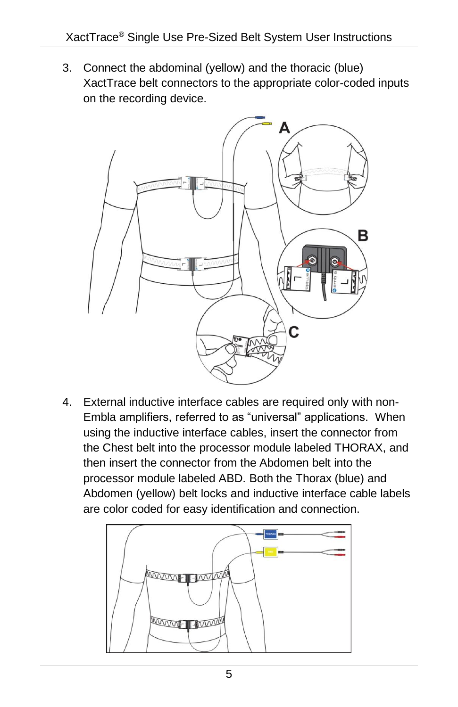3. Connect the abdominal (yellow) and the thoracic (blue) XactTrace belt connectors to the appropriate color-coded inputs on the recording device.



4. External inductive interface cables are required only with non-Embla amplifiers, referred to as "universal" applications. When using the inductive interface cables, insert the connector from the Chest belt into the processor module labeled THORAX, and then insert the connector from the Abdomen belt into the processor module labeled ABD. Both the Thorax (blue) and Abdomen (yellow) belt locks and inductive interface cable labels are color coded for easy identification and connection.

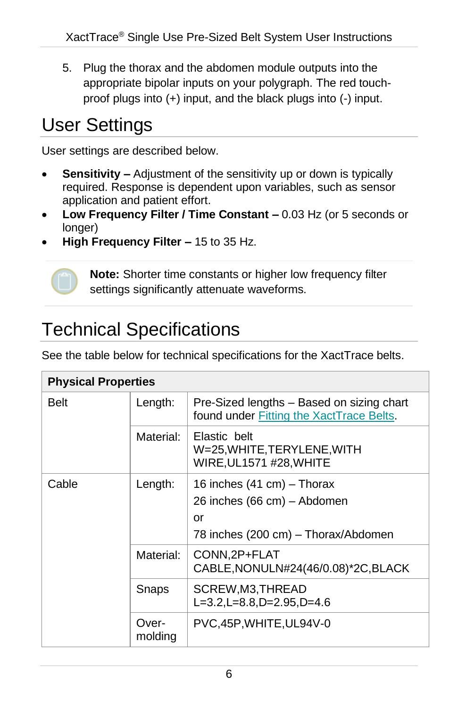5. Plug the thorax and the abdomen module outputs into the appropriate bipolar inputs on your polygraph. The red touchproof plugs into (+) input, and the black plugs into (-) input.

### User Settings

User settings are described below.

- **Sensitivity –** Adjustment of the sensitivity up or down is typically required. Response is dependent upon variables, such as sensor application and patient effort.
- **Low Frequency Filter / Time Constant –** 0.03 Hz (or 5 seconds or longer)
- **High Frequency Filter –** 15 to 35 Hz.



**Note:** Shorter time constants or higher low frequency filter settings significantly attenuate waveforms.

### Technical Specifications

See the table below for technical specifications for the XactTrace belts.

| <b>Physical Properties</b> |                  |                                                                                                        |  |  |  |
|----------------------------|------------------|--------------------------------------------------------------------------------------------------------|--|--|--|
| <b>Belt</b>                | Length:          | Pre-Sized lengths - Based on sizing chart<br>found under Fitting the XactTrace Belts.                  |  |  |  |
|                            | Material:        | Elastic belt<br>W=25, WHITE, TERYLENE, WITH<br>WIRE, UL1571 #28, WHITE                                 |  |  |  |
| Cable                      | Length:          | 16 inches (41 cm) - Thorax<br>26 inches (66 cm) - Abdomen<br>Ωr<br>78 inches (200 cm) - Thorax/Abdomen |  |  |  |
|                            | Material:        | CONN, 2P+FLAT<br>CABLE, NONULN#24(46/0.08)*2C, BLACK                                                   |  |  |  |
|                            | Snaps            | SCREW,M3,THREAD<br>L=3.2, L=8.8, D=2.95, D=4.6                                                         |  |  |  |
|                            | Over-<br>molding | PVC,45P, WHITE, UL94V-0                                                                                |  |  |  |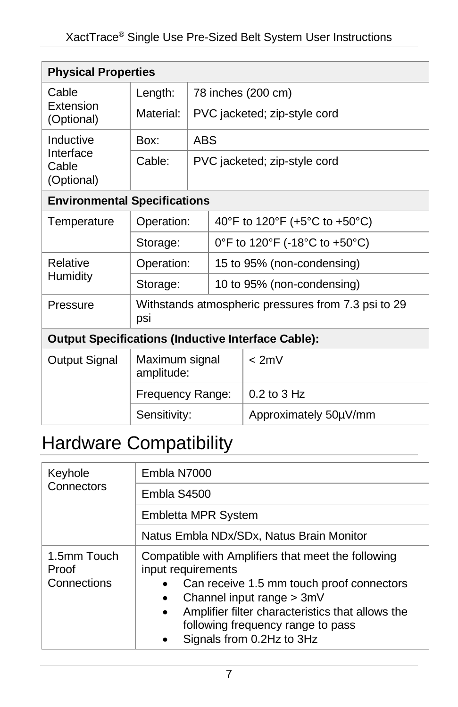| <b>Physical Properties</b>                                |                                                            |                              |                               |                            |  |
|-----------------------------------------------------------|------------------------------------------------------------|------------------------------|-------------------------------|----------------------------|--|
| Cable<br>Extension<br>(Optional)                          | Length:                                                    | 78 inches (200 cm)           |                               |                            |  |
|                                                           | Material:                                                  | PVC jacketed; zip-style cord |                               |                            |  |
| Inductive<br>Interface<br>Cable<br>(Optional)             | Box:                                                       | <b>ABS</b>                   |                               |                            |  |
|                                                           | Cable:                                                     | PVC jacketed; zip-style cord |                               |                            |  |
| <b>Environmental Specifications</b>                       |                                                            |                              |                               |                            |  |
| Temperature                                               | Operation:                                                 |                              | 40°F to 120°F (+5°C to +50°C) |                            |  |
|                                                           | Storage:                                                   |                              | 0°F to 120°F (-18°C to +50°C) |                            |  |
| Relative<br>Humidity                                      | Operation:                                                 |                              |                               | 15 to 95% (non-condensing) |  |
|                                                           | Storage:                                                   |                              |                               | 10 to 95% (non-condensing) |  |
| Pressure                                                  | Withstands atmospheric pressures from 7.3 psi to 29<br>psi |                              |                               |                            |  |
| <b>Output Specifications (Inductive Interface Cable):</b> |                                                            |                              |                               |                            |  |
| Output Signal                                             | Maximum signal<br>amplitude:                               |                              |                               | < 2m∨                      |  |
|                                                           | Frequency Range:                                           |                              |                               | 0.2 to 3 Hz                |  |
|                                                           | Sensitivity:                                               |                              |                               | Approximately 50µV/mm      |  |

## Hardware Compatibility

| Keyhole<br>Connectors               | Embla N7000                                                                                                                                                                                                                                                                           |  |  |  |
|-------------------------------------|---------------------------------------------------------------------------------------------------------------------------------------------------------------------------------------------------------------------------------------------------------------------------------------|--|--|--|
|                                     | Embla S4500                                                                                                                                                                                                                                                                           |  |  |  |
|                                     | <b>Embletta MPR System</b>                                                                                                                                                                                                                                                            |  |  |  |
|                                     | Natus Embla NDx/SDx, Natus Brain Monitor                                                                                                                                                                                                                                              |  |  |  |
| 1.5mm Touch<br>Proof<br>Connections | Compatible with Amplifiers that meet the following<br>input requirements<br>Can receive 1.5 mm touch proof connectors<br>Channel input range > 3mV<br>Amplifier filter characteristics that allows the<br>$\bullet$<br>following frequency range to pass<br>Signals from 0.2Hz to 3Hz |  |  |  |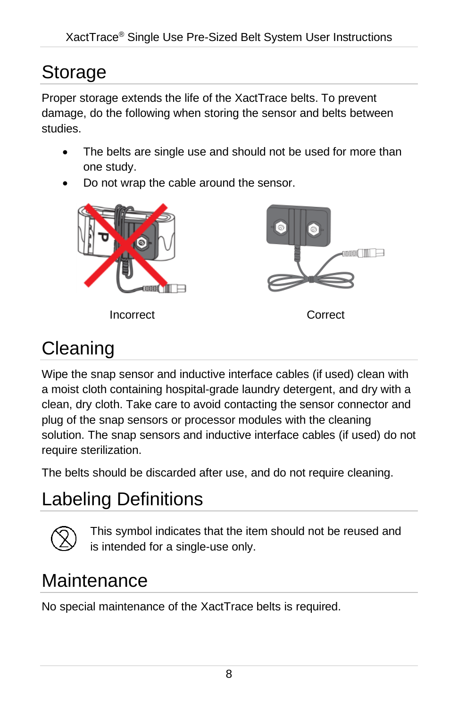## Storage

Proper storage extends the life of the XactTrace belts. To prevent damage, do the following when storing the sensor and belts between studies.

- The belts are single use and should not be used for more than one study.
- Do not wrap the cable around the sensor.



Incorrect Correct



### **Cleaning**

Wipe the snap sensor and inductive interface cables (if used) clean with a moist cloth containing hospital-grade laundry detergent, and dry with a clean, dry cloth. Take care to avoid contacting the sensor connector and plug of the snap sensors or processor modules with the cleaning solution. The snap sensors and inductive interface cables (if used) do not require sterilization.

The belts should be discarded after use, and do not require cleaning.

# Labeling Definitions



This symbol indicates that the item should not be reused and is intended for a single-use only.

### **Maintenance**

No special maintenance of the XactTrace belts is required.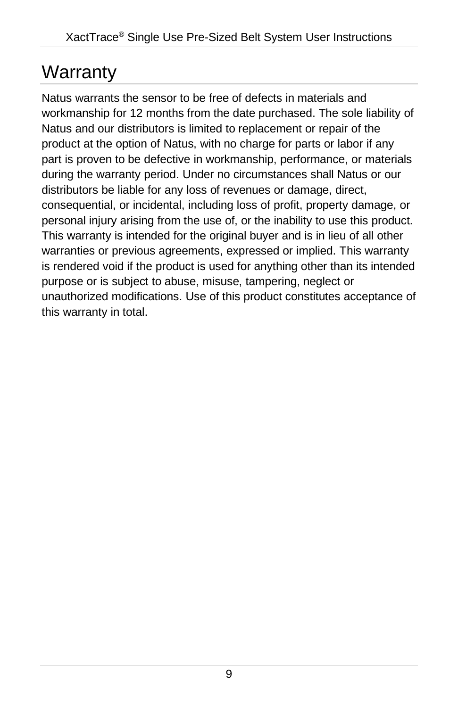### **Warranty**

Natus warrants the sensor to be free of defects in materials and workmanship for 12 months from the date purchased. The sole liability of Natus and our distributors is limited to replacement or repair of the product at the option of Natus, with no charge for parts or labor if any part is proven to be defective in workmanship, performance, or materials during the warranty period. Under no circumstances shall Natus or our distributors be liable for any loss of revenues or damage, direct, consequential, or incidental, including loss of profit, property damage, or personal injury arising from the use of, or the inability to use this product. This warranty is intended for the original buyer and is in lieu of all other warranties or previous agreements, expressed or implied. This warranty is rendered void if the product is used for anything other than its intended purpose or is subject to abuse, misuse, tampering, neglect or unauthorized modifications. Use of this product constitutes acceptance of this warranty in total.